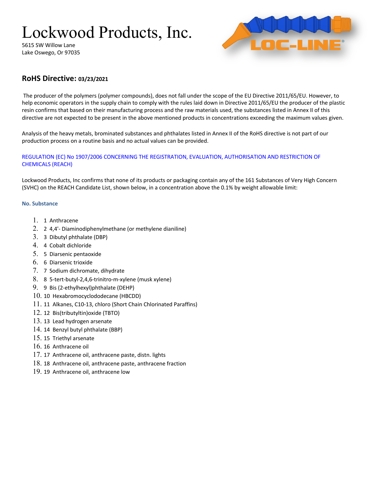# Lockwood Products, Inc.

5615 SW Willow Lane Lake Oswego, Or 97035



# **RoHS Directive: 03/23/2021**

The producer of the polymers (polymer compounds), does not fall under the scope of the EU Directive 2011/65/EU. However, to help economic operators in the supply chain to comply with the rules laid down in Directive 2011/65/EU the producer of the plastic resin confirms that based on their manufacturing process and the raw materials used, the substances listed in Annex II of this directive are not expected to be present in the above mentioned products in concentrations exceeding the maximum values given.

Analysis of the heavy metals, brominated substances and phthalates listed in Annex II of the RoHS directive is not part of our production process on a routine basis and no actual values can be provided.

## REGULATION (EC) No 1907/2006 CONCERNING THE REGISTRATION, EVALUATION, AUTHORISATION AND RESTRICTION OF CHEMICALS (REACH)

Lockwood Products, Inc confirms that none of its products or packaging contain any of the 161 Substances of Very High Concern (SVHC) on the REACH Candidate List, shown below, in a concentration above the 0.1% by weight allowable limit:

### **No. Substance**

- 1. 1 Anthracene
- 2. 2 4,4'- Diaminodiphenylmethane (or methylene dianiline)
- 3. 3 Dibutyl phthalate (DBP)
- 4. 4 Cobalt dichloride
- 5. 5 Diarsenic pentaoxide
- 6. 6 Diarsenic trioxide
- 7. 7 Sodium dichromate, dihydrate
- 8. 8 5-tert-butyl-2,4,6-trinitro-m-xylene (musk xylene)
- 9. 9 Bis (2-ethylhexyl)phthalate (DEHP)
- 10. 10 Hexabromocyclododecane (HBCDD)
- 11. 11 Alkanes, C10-13, chloro (Short Chain Chlorinated Paraffins)
- 12. 12 Bis(tributyltin)oxide (TBTO)
- 13. 13 Lead hydrogen arsenate
- 14. 14 Benzyl butyl phthalate (BBP)
- 15. 15 Triethyl arsenate
- 16. 16 Anthracene oil
- 17. 17 Anthracene oil, anthracene paste, distn. lights
- 18. 18 Anthracene oil, anthracene paste, anthracene fraction
- 19. 19 Anthracene oil, anthracene low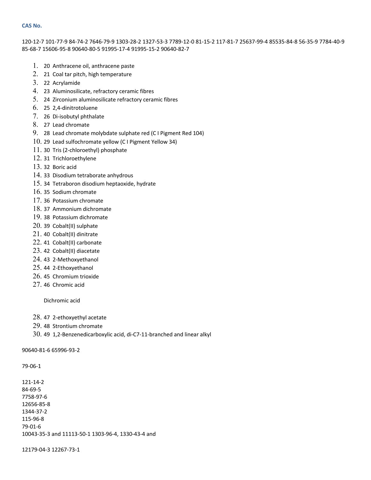#### **CAS No.**

120-12-7 101-77-9 84-74-2 7646-79-9 1303-28-2 1327-53-3 7789-12-0 81-15-2 117-81-7 25637-99-4 85535-84-8 56-35-9 7784-40-9 85-68-7 15606-95-8 90640-80-5 91995-17-4 91995-15-2 90640-82-7

- 1. 20 Anthracene oil, anthracene paste
- 2. 21 Coal tar pitch, high temperature
- 3. 22 Acrylamide
- 4. 23 Aluminosilicate, refractory ceramic fibres
- 5. 24 Zirconium aluminosilicate refractory ceramic fibres
- 6. 25 2,4-dinitrotoluene
- 7. 26 Di-isobutyl phthalate
- 8. 27 Lead chromate
- 9. 28 Lead chromate molybdate sulphate red (C I Pigment Red 104)
- 10. 29 Lead sulfochromate yellow (C I Pigment Yellow 34)
- 11. 30 Tris (2-chloroethyl) phosphate
- 12. 31 Trichloroethylene
- 13. 32 Boric acid
- 14. 33 Disodium tetraborate anhydrous
- 15. 34 Tetraboron disodium heptaoxide, hydrate
- 16. 35 Sodium chromate
- 17. 36 Potassium chromate
- 18. 37 Ammonium dichromate
- 19. 38 Potassium dichromate
- 20. 39 Cobalt(II) sulphate
- 21. 40 Cobalt(II) dinitrate
- 22. 41 Cobalt(II) carbonate
- 23. 42 Cobalt(II) diacetate
- 24. 43 2-Methoxyethanol
- 25. 44 2-Ethoxyethanol
- 26. 45 Chromium trioxide
- 27. 46 Chromic acid

Dichromic acid

- 28. 47 2-ethoxyethyl acetate
- 29. 48 Strontium chromate
- 30. 49 1,2-Benzenedicarboxylic acid, di-C7-11-branched and linear alkyl

90640-81-6 65996-93-2

79-06-1

121-14-2 84-69-5 7758-97-6 12656-85-8 1344-37-2 115-96-8 79-01-6 10043-35-3 and 11113-50-1 1303-96-4, 1330-43-4 and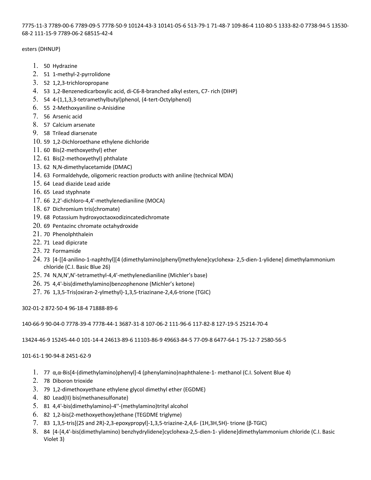7775-11-3 7789-00-6 7789-09-5 7778-50-9 10124-43-3 10141-05-6 513-79-1 71-48-7 109-86-4 110-80-5 1333-82-0 7738-94-5 13530- 68-2 111-15-9 7789-06-2 68515-42-4

#### esters (DHNUP)

- 1. 50 Hydrazine
- 2. 51 1-methyl-2-pyrrolidone
- 3. 52 1,2,3-trichloropropane
- 4. 53 1,2-Benzenedicarboxylic acid, di-C6-8-branched alkyl esters, C7- rich (DIHP)
- 5. 54 4-(1,1,3,3-tetramethylbutyl)phenol, (4-tert-Octylphenol)
- 6. 55 2-Methoxyaniline o-Anisidine
- 7. 56 Arsenic acid
- 8. 57 Calcium arsenate
- 9. 58 Trilead diarsenate
- 10. 59 1,2-Dichloroethane ethylene dichloride
- 11. 60 Bis(2-methoxyethyl) ether
- 12. 61 Bis(2-methoxyethyl) phthalate
- 13. 62 N,N-dimethylacetamide (DMAC)
- 14. 63 Formaldehyde, oligomeric reaction products with aniline (technical MDA)
- 15. 64 Lead diazide Lead azide
- 16. 65 Lead styphnate
- 17. 66 2,2'-dichloro-4,4'-methylenedianiline (MOCA)
- 18. 67 Dichromium tris(chromate)
- 19. 68 Potassium hydroxyoctaoxodizincatedichromate
- 20. 69 Pentazinc chromate octahydroxide
- 21. 70 Phenolphthalein
- 22. 71 Lead dipicrate
- 23. 72 Formamide
- 24. 73 [4-[[4-anilino-1-naphthyl][4 (dimethylamino)phenyl]methylene]cyclohexa- 2,5-dien-1-ylidene] dimethylammonium chloride (C.I. Basic Blue 26)
- 25. 74 N,N,N',N'-tetramethyl-4,4'-methylenedianiline (Michler's base)
- 26. 75 4,4'-bis(dimethylamino)benzophenone (Michler's ketone)
- 27. 76 1,3,5-Tris(oxiran-2-ylmethyl)-1,3,5-triazinane-2,4,6-trione (TGIC)

302-01-2 872-50-4 96-18-4 71888-89-6

140-66-9 90-04-0 7778-39-4 7778-44-1 3687-31-8 107-06-2 111-96-6 117-82-8 127-19-5 25214-70-4

13424-46-9 15245-44-0 101-14-4 24613-89-6 11103-86-9 49663-84-5 77-09-8 6477-64-1 75-12-7 2580-56-5

101-61-1 90-94-8 2451-62-9

- 1. 77 α,α-Bis[4-(dimethylamino)phenyl]-4 (phenylamino)naphthalene-1- methanol (C.I. Solvent Blue 4)
- 2. 78 Diboron trioxide
- 3. 79 1,2-dimethoxyethane ethylene glycol dimethyl ether (EGDME)
- 4. 80 Lead(II) bis(methanesulfonate)
- 5. 81 4,4'-bis(dimethylamino)-4''-(methylamino)trityl alcohol
- 6. 82 1,2-bis(2-methoxyethoxy)ethane (TEGDME triglyme)
- 7. 83 1,3,5-tris[(2S and 2R)-2,3-epoxypropyl]-1,3,5-triazine-2,4,6- (1H,3H,5H)- trione (β-TGIC)
- 8. 84 [4-[4,4'-bis(dimethylamino) benzhydrylidene]cyclohexa-2,5-dien-1- ylidene]dimethylammonium chloride (C.I. Basic Violet 3)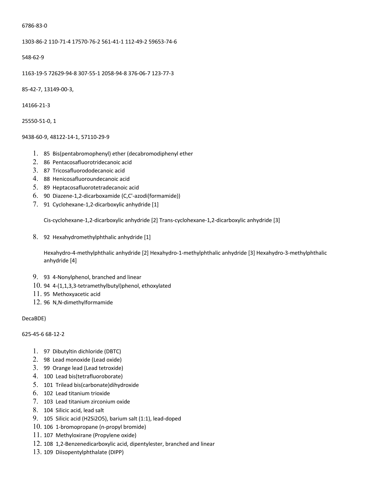#### 6786-83-0

1303-86-2 110-71-4 17570-76-2 561-41-1 112-49-2 59653-74-6

548-62-9

1163-19-5 72629-94-8 307-55-1 2058-94-8 376-06-7 123-77-3

85-42-7, 13149-00-3,

14166-21-3

25550-51-0, 1

#### 9438-60-9, 48122-14-1, 57110-29-9

- 1. 85 Bis(pentabromophenyl) ether (decabromodiphenyl ether
- 2. 86 Pentacosafluorotridecanoic acid
- 3. 87 Tricosafluorododecanoic acid
- 4. 88 Henicosafluoroundecanoic acid
- 5. 89 Heptacosafluorotetradecanoic acid
- 6. 90 Diazene-1,2-dicarboxamide (C,C'-azodi(formamide))
- 7. 91 Cyclohexane-1,2-dicarboxylic anhydride [1]

Cis-cyclohexane-1,2-dicarboxylic anhydride [2] Trans-cyclohexane-1,2-dicarboxylic anhydride [3]

8. 92 Hexahydromethylphthalic anhydride [1]

Hexahydro-4-methylphthalic anhydride [2] Hexahydro-1-methylphthalic anhydride [3] Hexahydro-3-methylphthalic anhydride [4]

- 9. 93 4-Nonylphenol, branched and linear
- 10. 94 4-(1,1,3,3-tetramethylbutyl)phenol, ethoxylated
- 11. 95 Methoxyacetic acid
- 12. 96 N,N-dimethylformamide

### DecaBDE)

### 625-45-6 68-12-2

- 1. 97 Dibutyltin dichloride (DBTC)
- 2. 98 Lead monoxide (Lead oxide)
- 3. 99 Orange lead (Lead tetroxide)
- 4. 100 Lead bis(tetrafluoroborate)
- 5. 101 Trilead bis(carbonate)dihydroxide
- 6. 102 Lead titanium trioxide
- 7. 103 Lead titanium zirconium oxide
- 8. 104 Silicic acid, lead salt
- 9. 105 Silicic acid (H2Si2O5), barium salt (1:1), lead-doped
- 10. 106 1-bromopropane (n-propyl bromide)
- 11. 107 Methyloxirane (Propylene oxide)
- 12. 108 1,2-Benzenedicarboxylic acid, dipentylester, branched and linear
- 13. 109 Diisopentylphthalate (DIPP)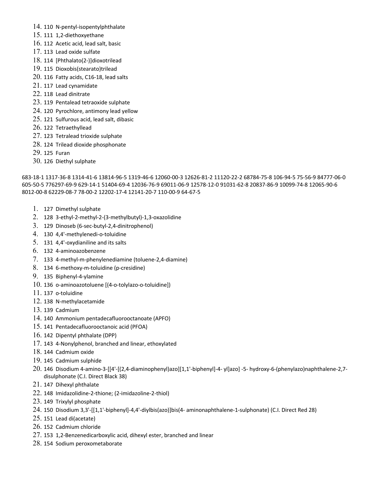- 14. 110 N-pentyl-isopentylphthalate
- 15. 111 1,2-diethoxyethane
- 16. 112 Acetic acid, lead salt, basic
- 17. 113 Lead oxide sulfate
- 18. 114 [Phthalato(2-)]dioxotrilead
- 19. 115 Dioxobis(stearato)trilead
- 20. 116 Fatty acids, C16-18, lead salts
- 21. 117 Lead cynamidate
- 22. 118 Lead dinitrate
- 23. 119 Pentalead tetraoxide sulphate
- 24. 120 Pyrochlore, antimony lead yellow
- 25. 121 Sulfurous acid, lead salt, dibasic
- 26. 122 Tetraethyllead
- 27. 123 Tetralead trioxide sulphate
- 28. 124 Trilead dioxide phosphonate
- 29. 125 Furan
- 30. 126 Diethyl sulphate

683-18-1 1317-36-8 1314-41-6 13814-96-5 1319-46-6 12060-00-3 12626-81-2 11120-22-2 68784-75-8 106-94-5 75-56-9 84777-06-0 605-50-5 776297-69-9 629-14-1 51404-69-4 12036-76-9 69011-06-9 12578-12-0 91031-62-8 20837-86-9 10099-74-8 12065-90-6 8012-00-8 62229-08-7 78-00-2 12202-17-4 12141-20-7 110-00-9 64-67-5

- 1. 127 Dimethyl sulphate
- 2. 128 3-ethyl-2-methyl-2-(3-methylbutyl)-1,3-oxazolidine
- 3. 129 Dinoseb (6-sec-butyl-2,4-dinitrophenol)
- 4. 130 4,4'-methylenedi-o-toluidine
- 5. 131 4,4'-oxydianiline and its salts
- 6. 132 4-aminoazobenzene
- 7. 133 4-methyl-m-phenylenediamine (toluene-2,4-diamine)
- 8. 134 6-methoxy-m-toluidine (p-cresidine)
- 9. 135 Biphenyl-4-ylamine
- 10. 136 o-aminoazotoluene [(4-o-tolylazo-o-toluidine])
- 11. 137 o-toluidine
- 12. 138 N-methylacetamide
- 13. 139 Cadmium
- 14. 140 Ammonium pentadecafluorooctanoate (APFO)
- 15. 141 Pentadecafluorooctanoic acid (PFOA)
- 16. 142 Dipentyl phthalate (DPP)
- 17. 143 4-Nonylphenol, branched and linear, ethoxylated
- 18. 144 Cadmium oxide
- 19. 145 Cadmium sulphide
- 20. 146 Disodium 4-amino-3-[[4'-[(2,4-diaminophenyl)azo][1,1'-biphenyl]-4- yl]azo] -5- hydroxy-6-(phenylazo)naphthalene-2,7 disulphonate (C.I. Direct Black 38)
- 21. 147 Dihexyl phthalate
- 22. 148 Imidazolidine-2-thione; (2-imidazoline-2-thiol)
- 23. 149 Trixylyl phosphate
- 24. 150 Disodium 3,3'-[[1,1'-biphenyl]-4,4'-diylbis(azo)]bis(4- aminonaphthalene-1-sulphonate) (C.I. Direct Red 28)
- 25. 151 Lead di(acetate)
- 26. 152 Cadmium chloride
- 27. 153 1,2-Benzenedicarboxylic acid, dihexyl ester, branched and linear
- 28. 154 Sodium peroxometaborate